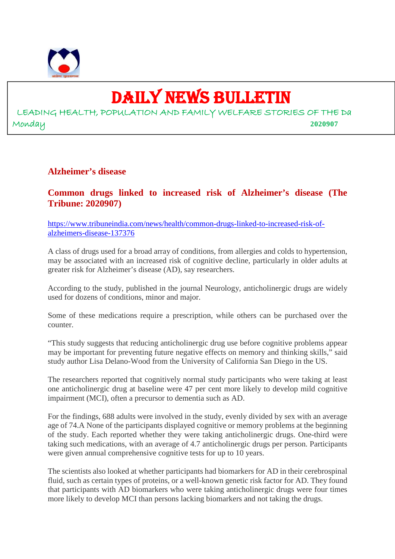

# DAILY NEWS BULLETIN

LEADING HEALTH, POPULATION AND FAMILY WELFARE STORIES OF THE Da Monday **2020907**

#### **Alzheimer's disease**

**Common drugs linked to increased risk of Alzheimer's disease (The Tribune: 2020907)**

https://www.tribuneindia.com/news/health/common-drugs-linked-to-increased-risk-ofalzheimers-disease-137376

A class of drugs used for a broad array of conditions, from allergies and colds to hypertension, may be associated with an increased risk of cognitive decline, particularly in older adults at greater risk for Alzheimer's disease (AD), say researchers.

According to the study, published in the journal Neurology, anticholinergic drugs are widely used for dozens of conditions, minor and major.

Some of these medications require a prescription, while others can be purchased over the counter.

"This study suggests that reducing anticholinergic drug use before cognitive problems appear may be important for preventing future negative effects on memory and thinking skills," said study author Lisa Delano-Wood from the University of California San Diego in the US.

The researchers reported that cognitively normal study participants who were taking at least one anticholinergic drug at baseline were 47 per cent more likely to develop mild cognitive impairment (MCI), often a precursor to dementia such as AD.

For the findings, 688 adults were involved in the study, evenly divided by sex with an average age of 74.A None of the participants displayed cognitive or memory problems at the beginning of the study. Each reported whether they were taking anticholinergic drugs. One-third were taking such medications, with an average of 4.7 anticholinergic drugs per person. Participants were given annual comprehensive cognitive tests for up to 10 years.

The scientists also looked at whether participants had biomarkers for AD in their cerebrospinal fluid, such as certain types of proteins, or a well-known genetic risk factor for AD. They found that participants with AD biomarkers who were taking anticholinergic drugs were four times more likely to develop MCI than persons lacking biomarkers and not taking the drugs.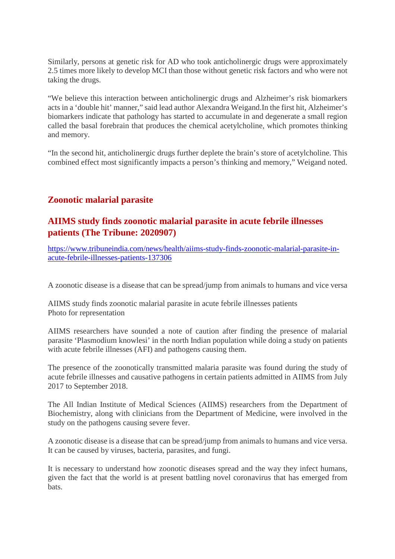Similarly, persons at genetic risk for AD who took anticholinergic drugs were approximately 2.5 times more likely to develop MCI than those without genetic risk factors and who were not taking the drugs.

"We believe this interaction between anticholinergic drugs and Alzheimer's risk biomarkers acts in a 'double hit' manner," said lead author Alexandra Weigand.In the first hit, Alzheimer's biomarkers indicate that pathology has started to accumulate in and degenerate a small region called the basal forebrain that produces the chemical acetylcholine, which promotes thinking and memory.

"In the second hit, anticholinergic drugs further deplete the brain's store of acetylcholine. This combined effect most significantly impacts a person's thinking and memory," Weigand noted.

## **Zoonotic malarial parasite**

#### **AIIMS study finds zoonotic malarial parasite in acute febrile illnesses patients (The Tribune: 2020907)**

https://www.tribuneindia.com/news/health/aiims-study-finds-zoonotic-malarial-parasite-inacute-febrile-illnesses-patients-137306

A zoonotic disease is a disease that can be spread/jump from animals to humans and vice versa

AIIMS study finds zoonotic malarial parasite in acute febrile illnesses patients Photo for representation

AIIMS researchers have sounded a note of caution after finding the presence of malarial parasite 'Plasmodium knowlesi' in the north Indian population while doing a study on patients with acute febrile illnesses (AFI) and pathogens causing them.

The presence of the zoonotically transmitted malaria parasite was found during the study of acute febrile illnesses and causative pathogens in certain patients admitted in AIIMS from July 2017 to September 2018.

The All Indian Institute of Medical Sciences (AIIMS) researchers from the Department of Biochemistry, along with clinicians from the Department of Medicine, were involved in the study on the pathogens causing severe fever.

A zoonotic disease is a disease that can be spread/jump from animals to humans and vice versa. It can be caused by viruses, bacteria, parasites, and fungi.

It is necessary to understand how zoonotic diseases spread and the way they infect humans, given the fact that the world is at present battling novel coronavirus that has emerged from bats.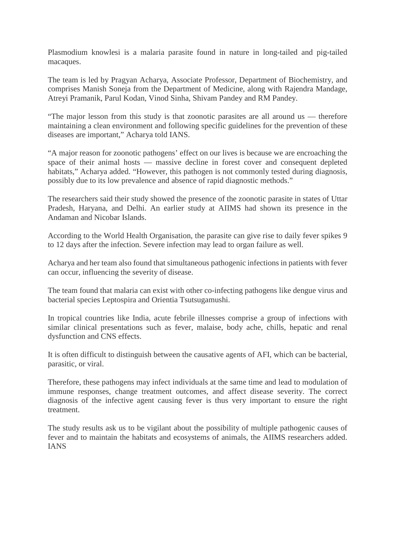Plasmodium knowlesi is a malaria parasite found in nature in long-tailed and pig-tailed macaques.

The team is led by Pragyan Acharya, Associate Professor, Department of Biochemistry, and comprises Manish Soneja from the Department of Medicine, along with Rajendra Mandage, Atreyi Pramanik, Parul Kodan, Vinod Sinha, Shivam Pandey and RM Pandey.

"The major lesson from this study is that zoonotic parasites are all around us — therefore maintaining a clean environment and following specific guidelines for the prevention of these diseases are important," Acharya told IANS.

"A major reason for zoonotic pathogens' effect on our lives is because we are encroaching the space of their animal hosts — massive decline in forest cover and consequent depleted habitats," Acharya added. "However, this pathogen is not commonly tested during diagnosis, possibly due to its low prevalence and absence of rapid diagnostic methods."

The researchers said their study showed the presence of the zoonotic parasite in states of Uttar Pradesh, Haryana, and Delhi. An earlier study at AIIMS had shown its presence in the Andaman and Nicobar Islands.

According to the World Health Organisation, the parasite can give rise to daily fever spikes 9 to 12 days after the infection. Severe infection may lead to organ failure as well.

Acharya and her team also found that simultaneous pathogenic infections in patients with fever can occur, influencing the severity of disease.

The team found that malaria can exist with other co-infecting pathogens like dengue virus and bacterial species Leptospira and Orientia Tsutsugamushi.

In tropical countries like India, acute febrile illnesses comprise a group of infections with similar clinical presentations such as fever, malaise, body ache, chills, hepatic and renal dysfunction and CNS effects.

It is often difficult to distinguish between the causative agents of AFI, which can be bacterial, parasitic, or viral.

Therefore, these pathogens may infect individuals at the same time and lead to modulation of immune responses, change treatment outcomes, and affect disease severity. The correct diagnosis of the infective agent causing fever is thus very important to ensure the right treatment.

The study results ask us to be vigilant about the possibility of multiple pathogenic causes of fever and to maintain the habitats and ecosystems of animals, the AIIMS researchers added. IANS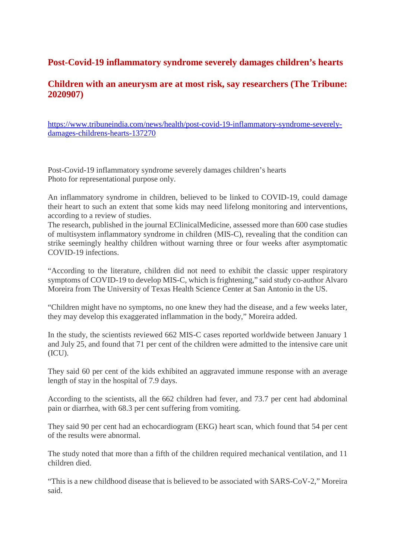## **Post-Covid-19 inflammatory syndrome severely damages children's hearts**

### **Children with an aneurysm are at most risk, say researchers (The Tribune: 2020907)**

https://www.tribuneindia.com/news/health/post-covid-19-inflammatory-syndrome-severelydamages-childrens-hearts-137270

Post-Covid-19 inflammatory syndrome severely damages children's hearts Photo for representational purpose only.

An inflammatory syndrome in children, believed to be linked to COVID-19, could damage their heart to such an extent that some kids may need lifelong monitoring and interventions, according to a review of studies.

The research, published in the journal EClinicalMedicine, assessed more than 600 case studies of multisystem inflammatory syndrome in children (MIS-C), revealing that the condition can strike seemingly healthy children without warning three or four weeks after asymptomatic COVID-19 infections.

"According to the literature, children did not need to exhibit the classic upper respiratory symptoms of COVID-19 to develop MIS-C, which is frightening," said study co-author Alvaro Moreira from The University of Texas Health Science Center at San Antonio in the US.

"Children might have no symptoms, no one knew they had the disease, and a few weeks later, they may develop this exaggerated inflammation in the body," Moreira added.

In the study, the scientists reviewed 662 MIS-C cases reported worldwide between January 1 and July 25, and found that 71 per cent of the children were admitted to the intensive care unit (ICU).

They said 60 per cent of the kids exhibited an aggravated immune response with an average length of stay in the hospital of 7.9 days.

According to the scientists, all the 662 children had fever, and 73.7 per cent had abdominal pain or diarrhea, with 68.3 per cent suffering from vomiting.

They said 90 per cent had an echocardiogram (EKG) heart scan, which found that 54 per cent of the results were abnormal.

The study noted that more than a fifth of the children required mechanical ventilation, and 11 children died.

"This is a new childhood disease that is believed to be associated with SARS-CoV-2," Moreira said.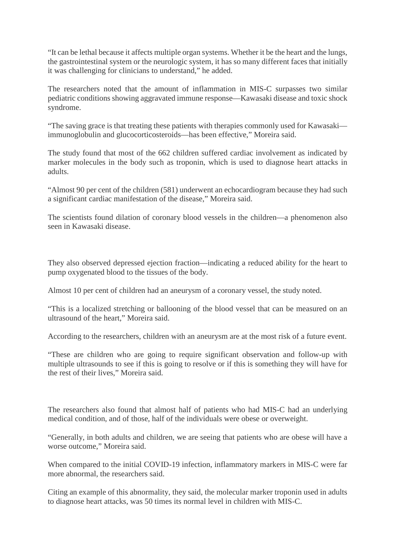"It can be lethal because it affects multiple organ systems. Whether it be the heart and the lungs, the gastrointestinal system or the neurologic system, it has so many different faces that initially it was challenging for clinicians to understand," he added.

The researchers noted that the amount of inflammation in MIS-C surpasses two similar pediatric conditions showing aggravated immune response—Kawasaki disease and toxic shock syndrome.

"The saving grace is that treating these patients with therapies commonly used for Kawasaki immunoglobulin and glucocorticosteroids—has been effective," Moreira said.

The study found that most of the 662 children suffered cardiac involvement as indicated by marker molecules in the body such as troponin, which is used to diagnose heart attacks in adults.

"Almost 90 per cent of the children (581) underwent an echocardiogram because they had such a significant cardiac manifestation of the disease," Moreira said.

The scientists found dilation of coronary blood vessels in the children—a phenomenon also seen in Kawasaki disease.

They also observed depressed ejection fraction—indicating a reduced ability for the heart to pump oxygenated blood to the tissues of the body.

Almost 10 per cent of children had an aneurysm of a coronary vessel, the study noted.

"This is a localized stretching or ballooning of the blood vessel that can be measured on an ultrasound of the heart," Moreira said.

According to the researchers, children with an aneurysm are at the most risk of a future event.

"These are children who are going to require significant observation and follow-up with multiple ultrasounds to see if this is going to resolve or if this is something they will have for the rest of their lives," Moreira said.

The researchers also found that almost half of patients who had MIS-C had an underlying medical condition, and of those, half of the individuals were obese or overweight.

"Generally, in both adults and children, we are seeing that patients who are obese will have a worse outcome," Moreira said.

When compared to the initial COVID-19 infection, inflammatory markers in MIS-C were far more abnormal, the researchers said.

Citing an example of this abnormality, they said, the molecular marker troponin used in adults to diagnose heart attacks, was 50 times its normal level in children with MIS-C.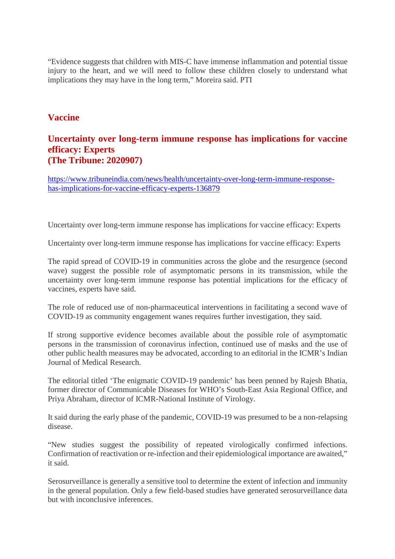"Evidence suggests that children with MIS-C have immense inflammation and potential tissue injury to the heart, and we will need to follow these children closely to understand what implications they may have in the long term," Moreira said. PTI

#### **Vaccine**

#### **Uncertainty over long-term immune response has implications for vaccine efficacy: Experts (The Tribune: 2020907)**

https://www.tribuneindia.com/news/health/uncertainty-over-long-term-immune-responsehas-implications-for-vaccine-efficacy-experts-136879

Uncertainty over long-term immune response has implications for vaccine efficacy: Experts

Uncertainty over long-term immune response has implications for vaccine efficacy: Experts

The rapid spread of COVID-19 in communities across the globe and the resurgence (second wave) suggest the possible role of asymptomatic persons in its transmission, while the uncertainty over long-term immune response has potential implications for the efficacy of vaccines, experts have said.

The role of reduced use of non-pharmaceutical interventions in facilitating a second wave of COVID-19 as community engagement wanes requires further investigation, they said.

If strong supportive evidence becomes available about the possible role of asymptomatic persons in the transmission of coronavirus infection, continued use of masks and the use of other public health measures may be advocated, according to an editorial in the ICMR's Indian Journal of Medical Research.

The editorial titled 'The enigmatic COVID-19 pandemic' has been penned by Rajesh Bhatia, former director of Communicable Diseases for WHO's South-East Asia Regional Office, and Priya Abraham, director of ICMR-National Institute of Virology.

It said during the early phase of the pandemic, COVID-19 was presumed to be a non-relapsing disease.

"New studies suggest the possibility of repeated virologically confirmed infections. Confirmation of reactivation or re-infection and their epidemiological importance are awaited," it said.

Serosurveillance is generally a sensitive tool to determine the extent of infection and immunity in the general population. Only a few field-based studies have generated serosurveillance data but with inconclusive inferences.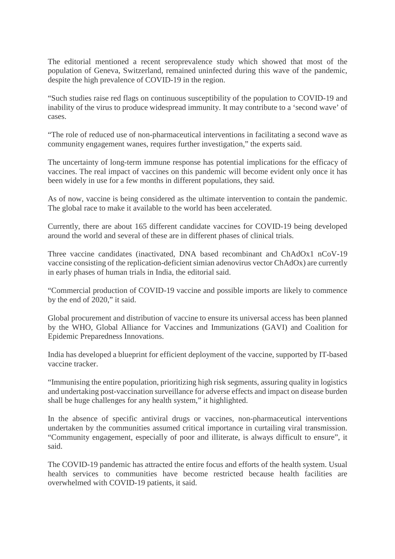The editorial mentioned a recent seroprevalence study which showed that most of the population of Geneva, Switzerland, remained uninfected during this wave of the pandemic, despite the high prevalence of COVID-19 in the region.

"Such studies raise red flags on continuous susceptibility of the population to COVID-19 and inability of the virus to produce widespread immunity. It may contribute to a 'second wave' of cases.

"The role of reduced use of non-pharmaceutical interventions in facilitating a second wave as community engagement wanes, requires further investigation," the experts said.

The uncertainty of long-term immune response has potential implications for the efficacy of vaccines. The real impact of vaccines on this pandemic will become evident only once it has been widely in use for a few months in different populations, they said.

As of now, vaccine is being considered as the ultimate intervention to contain the pandemic. The global race to make it available to the world has been accelerated.

Currently, there are about 165 different candidate vaccines for COVID-19 being developed around the world and several of these are in different phases of clinical trials.

Three vaccine candidates (inactivated, DNA based recombinant and ChAdOx1 nCoV-19 vaccine consisting of the replication-deficient simian adenovirus vector ChAdOx) are currently in early phases of human trials in India, the editorial said.

"Commercial production of COVID-19 vaccine and possible imports are likely to commence by the end of 2020," it said.

Global procurement and distribution of vaccine to ensure its universal access has been planned by the WHO, Global Alliance for Vaccines and Immunizations (GAVI) and Coalition for Epidemic Preparedness Innovations.

India has developed a blueprint for efficient deployment of the vaccine, supported by IT-based vaccine tracker.

"Immunising the entire population, prioritizing high risk segments, assuring quality in logistics and undertaking post-vaccination surveillance for adverse effects and impact on disease burden shall be huge challenges for any health system," it highlighted.

In the absence of specific antiviral drugs or vaccines, non-pharmaceutical interventions undertaken by the communities assumed critical importance in curtailing viral transmission. "Community engagement, especially of poor and illiterate, is always difficult to ensure", it said.

The COVID-19 pandemic has attracted the entire focus and efforts of the health system. Usual health services to communities have become restricted because health facilities are overwhelmed with COVID-19 patients, it said.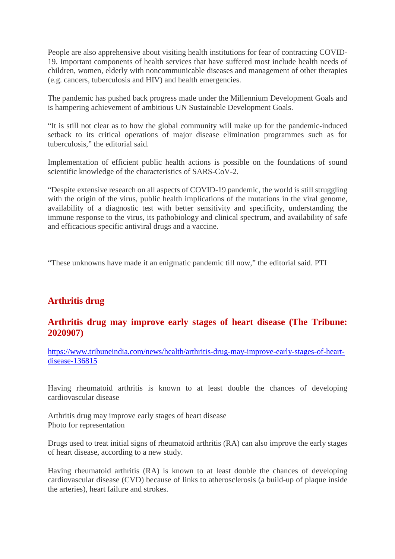People are also apprehensive about visiting health institutions for fear of contracting COVID-19. Important components of health services that have suffered most include health needs of children, women, elderly with noncommunicable diseases and management of other therapies (e.g. cancers, tuberculosis and HIV) and health emergencies.

The pandemic has pushed back progress made under the Millennium Development Goals and is hampering achievement of ambitious UN Sustainable Development Goals.

"It is still not clear as to how the global community will make up for the pandemic-induced setback to its critical operations of major disease elimination programmes such as for tuberculosis," the editorial said.

Implementation of efficient public health actions is possible on the foundations of sound scientific knowledge of the characteristics of SARS-CoV-2.

"Despite extensive research on all aspects of COVID-19 pandemic, the world is still struggling with the origin of the virus, public health implications of the mutations in the viral genome, availability of a diagnostic test with better sensitivity and specificity, understanding the immune response to the virus, its pathobiology and clinical spectrum, and availability of safe and efficacious specific antiviral drugs and a vaccine.

"These unknowns have made it an enigmatic pandemic till now," the editorial said. PTI

## **Arthritis drug**

#### **Arthritis drug may improve early stages of heart disease (The Tribune: 2020907)**

https://www.tribuneindia.com/news/health/arthritis-drug-may-improve-early-stages-of-heartdisease-136815

Having rheumatoid arthritis is known to at least double the chances of developing cardiovascular disease

Arthritis drug may improve early stages of heart disease Photo for representation

Drugs used to treat initial signs of rheumatoid arthritis (RA) can also improve the early stages of heart disease, according to a new study.

Having rheumatoid arthritis (RA) is known to at least double the chances of developing cardiovascular disease (CVD) because of links to atherosclerosis (a build-up of plaque inside the arteries), heart failure and strokes.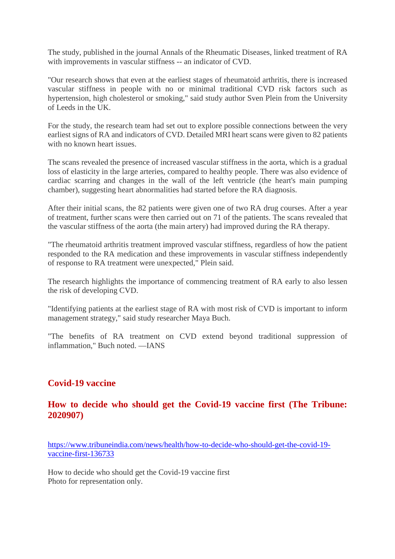The study, published in the journal Annals of the Rheumatic Diseases, linked treatment of RA with improvements in vascular stiffness -- an indicator of CVD.

"Our research shows that even at the earliest stages of rheumatoid arthritis, there is increased vascular stiffness in people with no or minimal traditional CVD risk factors such as hypertension, high cholesterol or smoking," said study author Sven Plein from the University of Leeds in the UK.

For the study, the research team had set out to explore possible connections between the very earliest signs of RA and indicators of CVD. Detailed MRI heart scans were given to 82 patients with no known heart issues.

The scans revealed the presence of increased vascular stiffness in the aorta, which is a gradual loss of elasticity in the large arteries, compared to healthy people. There was also evidence of cardiac scarring and changes in the wall of the left ventricle (the heart's main pumping chamber), suggesting heart abnormalities had started before the RA diagnosis.

After their initial scans, the 82 patients were given one of two RA drug courses. After a year of treatment, further scans were then carried out on 71 of the patients. The scans revealed that the vascular stiffness of the aorta (the main artery) had improved during the RA therapy.

"The rheumatoid arthritis treatment improved vascular stiffness, regardless of how the patient responded to the RA medication and these improvements in vascular stiffness independently of response to RA treatment were unexpected," Plein said.

The research highlights the importance of commencing treatment of RA early to also lessen the risk of developing CVD.

"Identifying patients at the earliest stage of RA with most risk of CVD is important to inform management strategy," said study researcher Maya Buch.

"The benefits of RA treatment on CVD extend beyond traditional suppression of inflammation," Buch noted. —IANS

#### **Covid-19 vaccine**

#### **How to decide who should get the Covid-19 vaccine first (The Tribune: 2020907)**

https://www.tribuneindia.com/news/health/how-to-decide-who-should-get-the-covid-19 vaccine-first-136733

How to decide who should get the Covid-19 vaccine first Photo for representation only.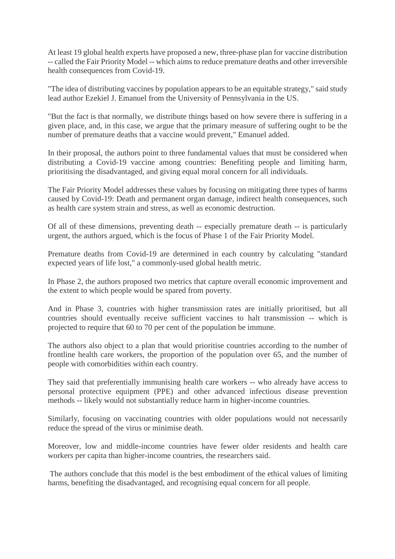At least 19 global health experts have proposed a new, three-phase plan for vaccine distribution -- called the Fair Priority Model -- which aims to reduce premature deaths and other irreversible health consequences from Covid-19.

"The idea of distributing vaccines by population appears to be an equitable strategy," said study lead author Ezekiel J. Emanuel from the University of Pennsylvania in the US.

"But the fact is that normally, we distribute things based on how severe there is suffering in a given place, and, in this case, we argue that the primary measure of suffering ought to be the number of premature deaths that a vaccine would prevent," Emanuel added.

In their proposal, the authors point to three fundamental values that must be considered when distributing a Covid-19 vaccine among countries: Benefiting people and limiting harm, prioritising the disadvantaged, and giving equal moral concern for all individuals.

The Fair Priority Model addresses these values by focusing on mitigating three types of harms caused by Covid-19: Death and permanent organ damage, indirect health consequences, such as health care system strain and stress, as well as economic destruction.

Of all of these dimensions, preventing death -- especially premature death -- is particularly urgent, the authors argued, which is the focus of Phase 1 of the Fair Priority Model.

Premature deaths from Covid-19 are determined in each country by calculating "standard expected years of life lost," a commonly-used global health metric.

In Phase 2, the authors proposed two metrics that capture overall economic improvement and the extent to which people would be spared from poverty.

And in Phase 3, countries with higher transmission rates are initially prioritised, but all countries should eventually receive sufficient vaccines to halt transmission -- which is projected to require that 60 to 70 per cent of the population be immune.

The authors also object to a plan that would prioritise countries according to the number of frontline health care workers, the proportion of the population over 65, and the number of people with comorbidities within each country.

They said that preferentially immunising health care workers -- who already have access to personal protective equipment (PPE) and other advanced infectious disease prevention methods -- likely would not substantially reduce harm in higher-income countries.

Similarly, focusing on vaccinating countries with older populations would not necessarily reduce the spread of the virus or minimise death.

Moreover, low and middle-income countries have fewer older residents and health care workers per capita than higher-income countries, the researchers said.

The authors conclude that this model is the best embodiment of the ethical values of limiting harms, benefiting the disadvantaged, and recognising equal concern for all people.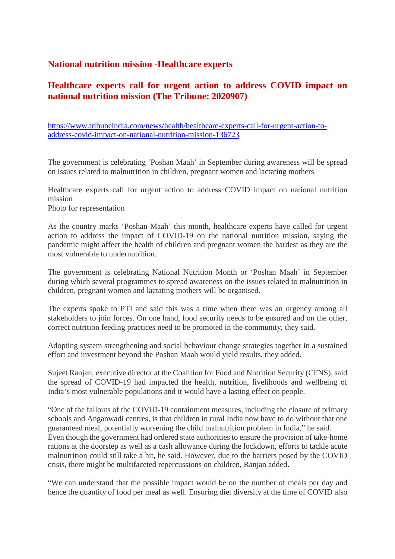#### **National nutrition mission -Healthcare experts**

#### **Healthcare experts call for urgent action to address COVID impact on national nutrition mission (The Tribune: 2020907)**

https://www.tribuneindia.com/news/health/healthcare-experts-call-for-urgent-action-toaddress-covid-impact-on-national-nutrition-mission-136723

The government is celebrating 'Poshan Maah' in September during awareness will be spread on issues related to malnutrition in children, pregnant women and lactating mothers

Healthcare experts call for urgent action to address COVID impact on national nutrition mission Photo for representation

As the country marks 'Poshan Maah' this month, healthcare experts have called for urgent action to address the impact of COVID-19 on the national nutrition mission, saying the pandemic might affect the health of children and pregnant women the hardest as they are the most vulnerable to undernutrition.

The government is celebrating National Nutrition Month or 'Poshan Maah' in September during which several programmes to spread awareness on the issues related to malnutrition in children, pregnant women and lactating mothers will be organised.

The experts spoke to PTI and said this was a time when there was an urgency among all stakeholders to join forces. On one hand, food security needs to be ensured and on the other, correct nutrition feeding practices need to be promoted in the community, they said.

Adopting system strengthening and social behaviour change strategies together in a sustained effort and investment beyond the Poshan Maah would yield results, they added.

Sujeet Ranjan, executive director at the Coalition for Food and Nutrition Security (CFNS), said the spread of COVID-19 had impacted the health, nutrition, livelihoods and wellbeing of India's most vulnerable populations and it would have a lasting effect on people.

"One of the fallouts of the COVID-19 containment measures, including the closure of primary schools and Anganwadi centres, is that children in rural India now have to do without that one guaranteed meal, potentially worsening the child malnutrition problem in India," he said. Even though the government had ordered state authorities to ensure the provision of take-home rations at the doorstep as well as a cash allowance during the lockdown, efforts to tackle acute malnutrition could still take a hit, he said. However, due to the barriers posed by the COVID crisis, there might be multifaceted repercussions on children, Ranjan added.

"We can understand that the possible impact would be on the number of meals per day and hence the quantity of food per meal as well. Ensuring diet diversity at the time of COVID also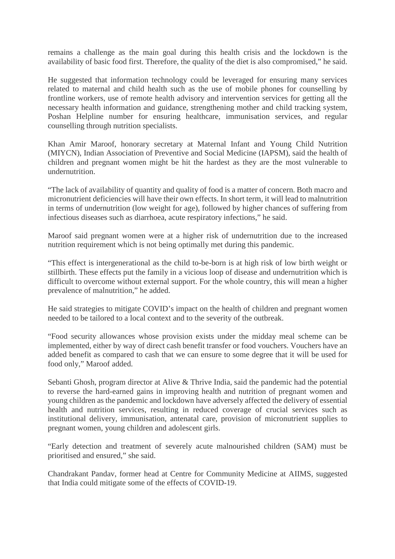remains a challenge as the main goal during this health crisis and the lockdown is the availability of basic food first. Therefore, the quality of the diet is also compromised," he said.

He suggested that information technology could be leveraged for ensuring many services related to maternal and child health such as the use of mobile phones for counselling by frontline workers, use of remote health advisory and intervention services for getting all the necessary health information and guidance, strengthening mother and child tracking system, Poshan Helpline number for ensuring healthcare, immunisation services, and regular counselling through nutrition specialists.

Khan Amir Maroof, honorary secretary at Maternal Infant and Young Child Nutrition (MIYCN), Indian Association of Preventive and Social Medicine (IAPSM), said the health of children and pregnant women might be hit the hardest as they are the most vulnerable to undernutrition.

"The lack of availability of quantity and quality of food is a matter of concern. Both macro and micronutrient deficiencies will have their own effects. In short term, it will lead to malnutrition in terms of undernutrition (low weight for age), followed by higher chances of suffering from infectious diseases such as diarrhoea, acute respiratory infections," he said.

Maroof said pregnant women were at a higher risk of undernutrition due to the increased nutrition requirement which is not being optimally met during this pandemic.

"This effect is intergenerational as the child to-be-born is at high risk of low birth weight or stillbirth. These effects put the family in a vicious loop of disease and undernutrition which is difficult to overcome without external support. For the whole country, this will mean a higher prevalence of malnutrition," he added.

He said strategies to mitigate COVID's impact on the health of children and pregnant women needed to be tailored to a local context and to the severity of the outbreak.

"Food security allowances whose provision exists under the midday meal scheme can be implemented, either by way of direct cash benefit transfer or food vouchers. Vouchers have an added benefit as compared to cash that we can ensure to some degree that it will be used for food only," Maroof added.

Sebanti Ghosh, program director at Alive & Thrive India, said the pandemic had the potential to reverse the hard-earned gains in improving health and nutrition of pregnant women and young children as the pandemic and lockdown have adversely affected the delivery of essential health and nutrition services, resulting in reduced coverage of crucial services such as institutional delivery, immunisation, antenatal care, provision of micronutrient supplies to pregnant women, young children and adolescent girls.

"Early detection and treatment of severely acute malnourished children (SAM) must be prioritised and ensured," she said.

Chandrakant Pandav, former head at Centre for Community Medicine at AIIMS, suggested that India could mitigate some of the effects of COVID-19.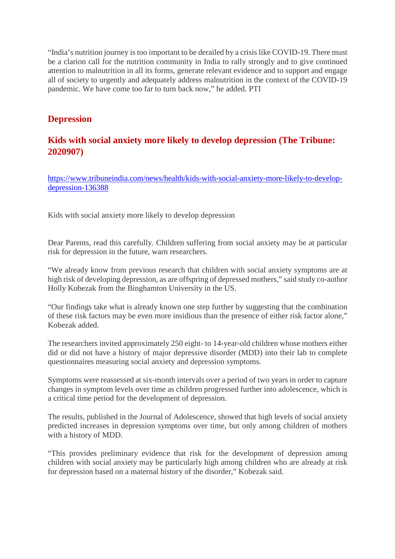"India's nutrition journey is too important to be derailed by a crisis like COVID-19. There must be a clarion call for the nutrition community in India to rally strongly and to give continued attention to malnutrition in all its forms, generate relevant evidence and to support and engage all of society to urgently and adequately address malnutrition in the context of the COVID-19 pandemic. We have come too far to turn back now," he added. PTI

## **Depression**

# **Kids with social anxiety more likely to develop depression (The Tribune: 2020907)**

https://www.tribuneindia.com/news/health/kids-with-social-anxiety-more-likely-to-developdepression-136388

Kids with social anxiety more likely to develop depression

Dear Parents, read this carefully. Children suffering from social anxiety may be at particular risk for depression in the future, warn researchers.

"We already know from previous research that children with social anxiety symptoms are at high risk of developing depression, as are offspring of depressed mothers," said study co-author Holly Kobezak from the Binghamton University in the US.

"Our findings take what is already known one step further by suggesting that the combination of these risk factors may be even more insidious than the presence of either risk factor alone," Kobezak added.

The researchers invited approximately 250 eight- to 14-year-old children whose mothers either did or did not have a history of major depressive disorder (MDD) into their lab to complete questionnaires measuring social anxiety and depression symptoms.

Symptoms were reassessed at six-month intervals over a period of two years in order to capture changes in symptom levels over time as children progressed further into adolescence, which is a critical time period for the development of depression.

The results, published in the Journal of Adolescence, showed that high levels of social anxiety predicted increases in depression symptoms over time, but only among children of mothers with a history of MDD.

"This provides preliminary evidence that risk for the development of depression among children with social anxiety may be particularly high among children who are already at risk for depression based on a maternal history of the disorder," Kobezak said.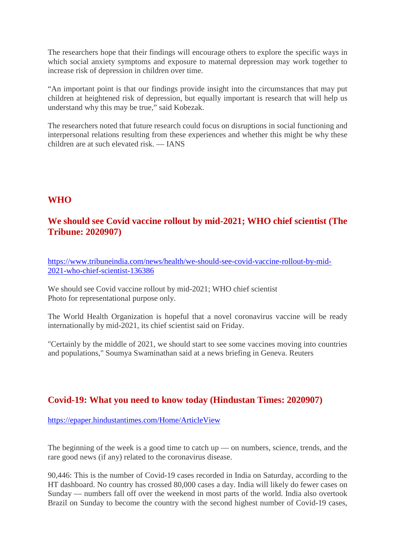The researchers hope that their findings will encourage others to explore the specific ways in which social anxiety symptoms and exposure to maternal depression may work together to increase risk of depression in children over time.

"An important point is that our findings provide insight into the circumstances that may put children at heightened risk of depression, but equally important is research that will help us understand why this may be true," said Kobezak.

The researchers noted that future research could focus on disruptions in social functioning and interpersonal relations resulting from these experiences and whether this might be why these  $\chi$ children are at such elevated risk — IANS

#### **WHO**

## **We should see Covid vaccine rollout by mid-2021; WHO chief scientist (The Tribune: 2020907)**

https://www.tribuneindia.com/news/health/we-should-see-covid-vaccine-rollout-by-mid-2021-who-chief-scientist-136386

We should see Covid vaccine rollout by mid-2021; WHO chief scientist Photo for representational purpose only.

The World Health Organization is hopeful that a novel coronavirus vaccine will be ready internationally by mid-2021, its chief scientist said on Friday.

"Certainly by the middle of 2021, we should start to see some vaccines moving into countries and populations," Soumya Swaminathan said at a news briefing in Geneva. Reuters

#### **Covid-19: What you need to know today (Hindustan Times: 2020907)**

https://epaper.hindustantimes.com/Home/ArticleView

The beginning of the week is a good time to catch up — on numbers, science, trends, and the rare good news (if any) related to the coronavirus disease.

90,446: This is the number of Covid-19 cases recorded in India on Saturday, according to the HT dashboard. No country has crossed 80,000 cases a day. India will likely do fewer cases on Sunday — numbers fall off over the weekend in most parts of the world. India also overtook Brazil on Sunday to become the country with the second highest number of Covid-19 cases,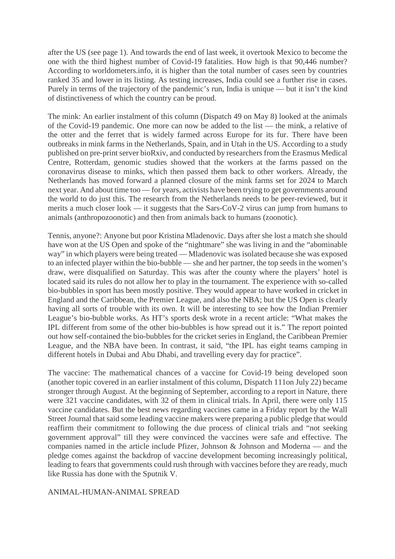after the US (see page 1). And towards the end of last week, it overtook Mexico to become the one with the third highest number of Covid-19 fatalities. How high is that 90,446 number? According to worldometers.info, it is higher than the total number of cases seen by countries ranked 35 and lower in its listing. As testing increases, India could see a further rise in cases. Purely in terms of the trajectory of the pandemic's run, India is unique — but it isn't the kind of distinctiveness of which the country can be proud.

The mink: An earlier instalment of this column (Dispatch 49 on May 8) looked at the animals of the Covid-19 pandemic. One more can now be added to the list — the mink, a relative of the otter and the ferret that is widely farmed across Europe for its fur. There have been outbreaks in mink farms in the Netherlands, Spain, and in Utah in the US. According to a study published on pre-print server bioRxiv, and conducted by researchers from the Erasmus Medical Centre, Rotterdam, genomic studies showed that the workers at the farms passed on the coronavirus disease to minks, which then passed them back to other workers. Already, the Netherlands has moved forward a planned closure of the mink farms set for 2024 to March next year. And about time too — for years, activists have been trying to get governments around the world to do just this. The research from the Netherlands needs to be peer-reviewed, but it merits a much closer look — it suggests that the Sars-CoV-2 virus can jump from humans to animals (anthropozoonotic) and then from animals back to humans (zoonotic).

Tennis, anyone?: Anyone but poor Kristina Mladenovic. Days after she lost a match she should have won at the US Open and spoke of the "nightmare" she was living in and the "abominable way" in which players were being treated — Mladenovic was isolated because she was exposed to an infected player within the bio-bubble — she and her partner, the top seeds in the women's draw, were disqualified on Saturday. This was after the county where the players' hotel is located said its rules do not allow her to play in the tournament. The experience with so-called bio-bubbles in sport has been mostly positive. They would appear to have worked in cricket in England and the Caribbean, the Premier League, and also the NBA; but the US Open is clearly having all sorts of trouble with its own. It will be interesting to see how the Indian Premier League's bio-bubble works. As HT's sports desk wrote in a recent article: "What makes the IPL different from some of the other bio-bubbles is how spread out it is." The report pointed out how self-contained the bio-bubbles for the cricket series in England, the Caribbean Premier League, and the NBA have been. In contrast, it said, "the IPL has eight teams camping in different hotels in Dubai and Abu Dhabi, and travelling every day for practice".

The vaccine: The mathematical chances of a vaccine for Covid-19 being developed soon (another topic covered in an earlier instalment of this column, Dispatch 111on July 22) became stronger through August. At the beginning of September, according to a report in Nature, there were 321 vaccine candidates, with 32 of them in clinical trials. In April, there were only 115 vaccine candidates. But the best news regarding vaccines came in a Friday report by the Wall Street Journal that said some leading vaccine makers were preparing a public pledge that would reaffirm their commitment to following the due process of clinical trials and "not seeking government approval" till they were convinced the vaccines were safe and effective. The companies named in the article include Pfizer, Johnson & Johnson and Moderna — and the pledge comes against the backdrop of vaccine development becoming increasingly political, leading to fears that governments could rush through with vaccines before they are ready, much like Russia has done with the Sputnik V.

#### ANIMAL-HUMAN-ANIMAL SPREAD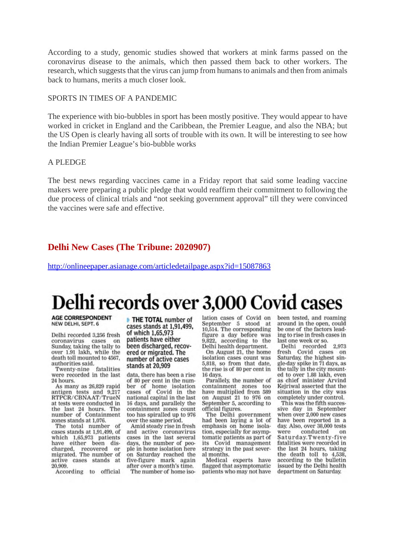According to a study, genomic studies showed that workers at mink farms passed on the coronavirus disease to the animals, which then passed them back to other workers. The research, which suggests that the virus can jump from humans to animals and then from animals back to humans, merits a much closer look.

#### SPORTS IN TIMES OF A PANDEMIC

The experience with bio-bubbles in sport has been mostly positive. They would appear to have worked in cricket in England and the Caribbean, the Premier League, and also the NBA; but the US Open is clearly having all sorts of trouble with its own. It will be interesting to see how the Indian Premier League's bio-bubble works

#### A PLEDGE

The best news regarding vaccines came in a Friday report that said some leading vaccine makers were preparing a public pledge that would reaffirm their commitment to following the due process of clinical trials and "not seeking government approval" till they were convinced the vaccines were safe and effective.

#### **Delhi New Cases (The Tribune: 2020907)**

http://onlineepaper.asianage.com/articledetailpage.aspx?id=15087863

# Delhi records over 3,000 Covid cases

**AGE CORRESPONDENT** NEW DELHI, SEPT. 6

Delhi recorded 3,256 fresh coronavirus cases on Sunday, taking the tally to over 1.91 lakh, while the death toll mounted to 4567. authorities said.

Twenty-nine fatalities were recorded in the last 24 hours.

As many as 26,829 rapid antigen tests and 9,217<br>RTPCR/CBNAAT/TrueN at tests were conducted in the last 24 hours. The<br>number of Containment zones stands at 1.076.

The total number of cases stands at 1,91,499, of which 1,65,973 patients have either been discharged, recovered or<br>migrated. The number of active cases stands at 20.909

According to official

THE TOTAL number of cases stands at 1.91.499. of which 1,65,973 patients have either been discharged, recovered or migrated. The number of active cases stands at 20,909

data, there has been a rise of 80 per cent in the number of home isolation cases of Covid in the national capital in the last 16 days, and parallely the containment zones count too has spiralled up to 976 over the same period.

Amid steady rise in fresh and active coronavirus cases in the last several days, the number of people in home isolation here on Saturday reached the five-figure mark again after over a month's time. The number of home iso-

lation cases of Covid on September 5 stood at 10,514. The corresponding figure a day before was 9,822, according to the Delhi health department.

On August 21, the home isolation cases count was 5,818, so from that date, the rise is of 80 per cent in 16 days.

Parallely, the number of containment zones too have multiplied from 589 on August 21 to 976 on September 5, according to official figures.

The Delhi government<br>had been laying a lot of emphasis on home isolation, especially for asymptomatic patients as part of its Covid management strategy in the past several months.

Medical experts have flagged that asymptomatic patients who may not have

been tested, and roaming around in the open, could be one of the factors leading to rise in fresh cases in last one week or so.

Delhi recorded 2,973<br>fresh Covid cases on Saturday, the highest single-day spike in 71 days, as the tally in the city mounted to over 1.88 lakh, even as chief minister Arvind Keiriwal asserted that the situation in the city was completely under control.

This was the fifth successive day in September when over 2,000 new cases have been reported in a day. Also, over 38,000 tests were conducted on Saturday.Twenty-five fatalities were recorded in the last 24 hours, taking the death toll to 4,538, according to the bulletin issued by the Delhi health department on Saturday.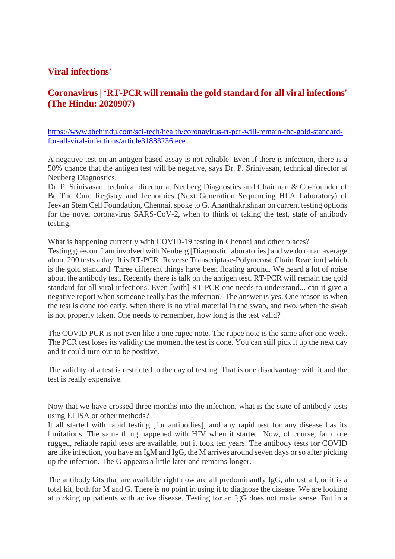#### **Viral infections'**

## **Coronavirus | 'RT-PCR will remain the gold standard for all viral infections' (The Hindu: 2020907)**

https://www.thehindu.com/sci-tech/health/coronavirus-rt-pcr-will-remain-the-gold-standardfor-all-viral-infections/article31883236.ece

A negative test on an antigen based assay is not reliable. Even if there is infection, there is a 50% chance that the antigen test will be negative, says Dr. P. Srinivasan, technical director at Neuberg Diagnostics.

Dr. P. Srinivasan, technical director at Neuberg Diagnostics and Chairman & Co-Founder of Be The Cure Registry and Jeenomics (Next Generation Sequencing HLA Laboratory) of Jeevan Stem Cell Foundation, Chennai, spoke to G. Ananthakrishnan on current testing options for the novel coronavirus SARS-CoV-2, when to think of taking the test, state of antibody testing.

What is happening currently with COVID-19 testing in Chennai and other places?

Testing goes on. I am involved with Neuberg [Diagnostic laboratories] and we do on an average about 200 tests a day. It is RT-PCR [Reverse Transcriptase-Polymerase Chain Reaction] which is the gold standard. Three different things have been floating around. We heard a lot of noise about the antibody test. Recently there is talk on the antigen test. RT-PCR will remain the gold standard for all viral infections. Even [with] RT-PCR one needs to understand... can it give a negative report when someone really has the infection? The answer is yes. One reason is when the test is done too early, when there is no viral material in the swab, and two, when the swab is not properly taken. One needs to remember, how long is the test valid?

The COVID PCR is not even like a one rupee note. The rupee note is the same after one week. The PCR test loses its validity the moment the test is done. You can still pick it up the next day and it could turn out to be positive.

The validity of a test is restricted to the day of testing. That is one disadvantage with it and the test is really expensive.

Now that we have crossed three months into the infection, what is the state of antibody tests using ELISA or other methods?

It all started with rapid testing [for antibodies], and any rapid test for any disease has its limitations. The same thing happened with HIV when it started. Now, of course, far more rugged, reliable rapid tests are available, but it took ten years. The antibody tests for COVID are like infection, you have an IgM and IgG, the M arrives around seven days or so after picking up the infection. The G appears a little later and remains longer.

The antibody kits that are available right now are all predominantly IgG, almost all, or it is a total kit, both for M and G. There is no point in using it to diagnose the disease. We are looking at picking up patients with active disease. Testing for an IgG does not make sense. But in a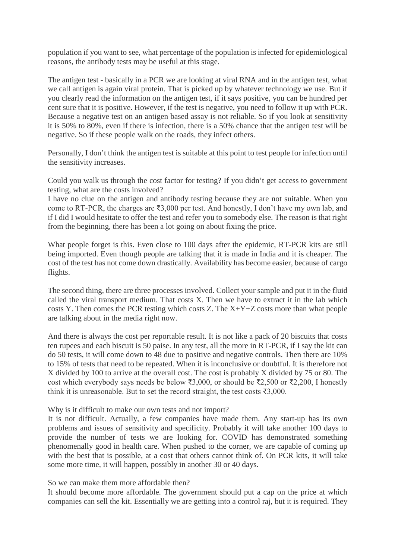population if you want to see, what percentage of the population is infected for epidemiological reasons, the antibody tests may be useful at this stage.

The antigen test - basically in a PCR we are looking at viral RNA and in the antigen test, what we call antigen is again viral protein. That is picked up by whatever technology we use. But if you clearly read the information on the antigen test, if it says positive, you can be hundred per cent sure that it is positive. However, if the test is negative, you need to follow it up with PCR. Because a negative test on an antigen based assay is not reliable. So if you look at sensitivity it is 50% to 80%, even if there is infection, there is a 50% chance that the antigen test will be negative. So if these people walk on the roads, they infect others.

Personally, I don't think the antigen test is suitable at this point to test people for infection until the sensitivity increases.

Could you walk us through the cost factor for testing? If you didn't get access to government testing, what are the costs involved?

I have no clue on the antigen and antibody testing because they are not suitable. When you come to RT-PCR, the charges are ₹3,000 per test. And honestly, I don't have my own lab, and if I did I would hesitate to offer the test and refer you to somebody else. The reason is that right from the beginning, there has been a lot going on about fixing the price.

What people forget is this. Even close to 100 days after the epidemic, RT-PCR kits are still being imported. Even though people are talking that it is made in India and it is cheaper. The cost of the test has not come down drastically. Availability has become easier, because of cargo flights.

The second thing, there are three processes involved. Collect your sample and put it in the fluid called the viral transport medium. That costs X. Then we have to extract it in the lab which costs Y. Then comes the PCR testing which costs Z. The X+Y+Z costs more than what people are talking about in the media right now.

And there is always the cost per reportable result. It is not like a pack of 20 biscuits that costs ten rupees and each biscuit is 50 paise. In any test, all the more in RT-PCR, if I say the kit can do 50 tests, it will come down to 48 due to positive and negative controls. Then there are 10% to 15% of tests that need to be repeated. When it is inconclusive or doubtful. It is therefore not X divided by 100 to arrive at the overall cost. The cost is probably X divided by 75 or 80. The cost which everybody says needs be below ₹3,000, or should be ₹2,500 or ₹2,200, I honestly think it is unreasonable. But to set the record straight, the test costs  $\overline{\mathfrak{3},000}$ .

#### Why is it difficult to make our own tests and not import?

It is not difficult. Actually, a few companies have made them. Any start-up has its own problems and issues of sensitivity and specificity. Probably it will take another 100 days to provide the number of tests we are looking for. COVID has demonstrated something phenomenally good in health care. When pushed to the corner, we are capable of coming up with the best that is possible, at a cost that others cannot think of. On PCR kits, it will take some more time, it will happen, possibly in another 30 or 40 days.

#### So we can make them more affordable then?

It should become more affordable. The government should put a cap on the price at which companies can sell the kit. Essentially we are getting into a control raj, but it is required. They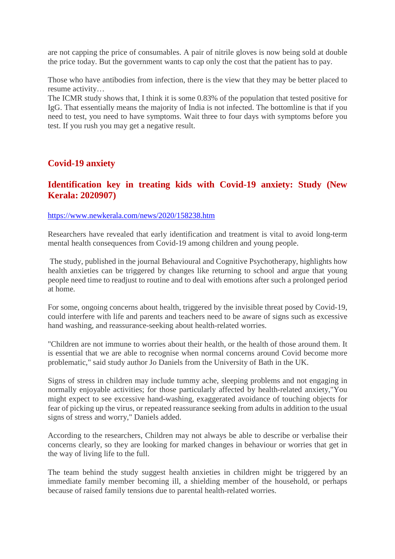are not capping the price of consumables. A pair of nitrile gloves is now being sold at double the price today. But the government wants to cap only the cost that the patient has to pay.

Those who have antibodies from infection, there is the view that they may be better placed to resume activity…

The ICMR study shows that, I think it is some 0.83% of the population that tested positive for IgG. That essentially means the majority of India is not infected. The bottomline is that if you need to test, you need to have symptoms. Wait three to four days with symptoms before you test. If you rush you may get a negative result.

## **Covid-19 anxiety**

## **Identification key in treating kids with Covid-19 anxiety: Study (New Kerala: 2020907)**

#### https://www.newkerala.com/news/2020/158238.htm

Researchers have revealed that early identification and treatment is vital to avoid long-term mental health consequences from Covid-19 among children and young people.

The study, published in the journal Behavioural and Cognitive Psychotherapy, highlights how health anxieties can be triggered by changes like returning to school and argue that young people need time to readjust to routine and to deal with emotions after such a prolonged period at home.

For some, ongoing concerns about health, triggered by the invisible threat posed by Covid-19, could interfere with life and parents and teachers need to be aware of signs such as excessive hand washing, and reassurance-seeking about health-related worries.

"Children are not immune to worries about their health, or the health of those around them. It is essential that we are able to recognise when normal concerns around Covid become more problematic," said study author Jo Daniels from the University of Bath in the UK.

Signs of stress in children may include tummy ache, sleeping problems and not engaging in normally enjoyable activities; for those particularly affected by health-related anxiety,"You might expect to see excessive hand-washing, exaggerated avoidance of touching objects for fear of picking up the virus, or repeated reassurance seeking from adults in addition to the usual signs of stress and worry," Daniels added.

According to the researchers, Children may not always be able to describe or verbalise their concerns clearly, so they are looking for marked changes in behaviour or worries that get in the way of living life to the full.

The team behind the study suggest health anxieties in children might be triggered by an immediate family member becoming ill, a shielding member of the household, or perhaps because of raised family tensions due to parental health-related worries.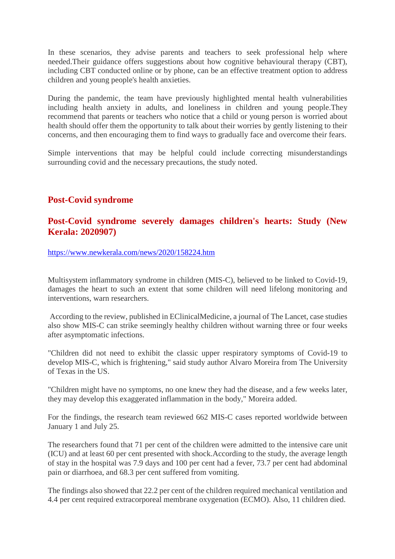In these scenarios, they advise parents and teachers to seek professional help where needed.Their guidance offers suggestions about how cognitive behavioural therapy (CBT), including CBT conducted online or by phone, can be an effective treatment option to address children and young people's health anxieties.

During the pandemic, the team have previously highlighted mental health vulnerabilities including health anxiety in adults, and loneliness in children and young people.They recommend that parents or teachers who notice that a child or young person is worried about health should offer them the opportunity to talk about their worries by gently listening to their concerns, and then encouraging them to find ways to gradually face and overcome their fears.

Simple interventions that may be helpful could include correcting misunderstandings surrounding covid and the necessary precautions, the study noted.

## **Post-Covid syndrome**

#### **Post-Covid syndrome severely damages children's hearts: Study (New Kerala: 2020907)**

https://www.newkerala.com/news/2020/158224.htm

Multisystem inflammatory syndrome in children (MIS-C), believed to be linked to Covid-19, damages the heart to such an extent that some children will need lifelong monitoring and interventions, warn researchers.

According to the review, published in EClinicalMedicine, a journal of The Lancet, case studies also show MIS-C can strike seemingly healthy children without warning three or four weeks after asymptomatic infections.

"Children did not need to exhibit the classic upper respiratory symptoms of Covid-19 to develop MIS-C, which is frightening," said study author Alvaro Moreira from The University of Texas in the US.

"Children might have no symptoms, no one knew they had the disease, and a few weeks later, they may develop this exaggerated inflammation in the body," Moreira added.

For the findings, the research team reviewed 662 MIS-C cases reported worldwide between January 1 and July 25.

The researchers found that 71 per cent of the children were admitted to the intensive care unit (ICU) and at least 60 per cent presented with shock.According to the study, the average length of stay in the hospital was 7.9 days and 100 per cent had a fever, 73.7 per cent had abdominal pain or diarrhoea, and 68.3 per cent suffered from vomiting.

The findings also showed that 22.2 per cent of the children required mechanical ventilation and 4.4 per cent required extracorporeal membrane oxygenation (ECMO). Also, 11 children died.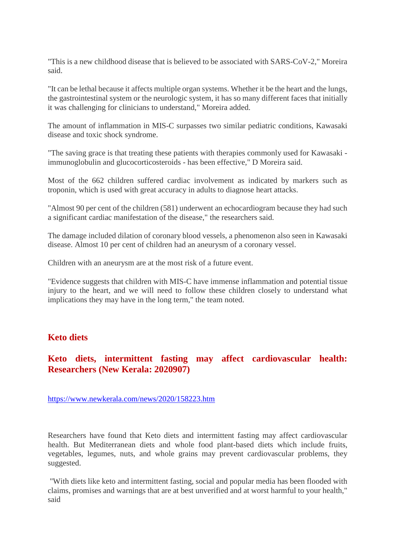"This is a new childhood disease that is believed to be associated with SARS-CoV-2," Moreira said.

"It can be lethal because it affects multiple organ systems. Whether it be the heart and the lungs, the gastrointestinal system or the neurologic system, it has so many different faces that initially it was challenging for clinicians to understand," Moreira added.

The amount of inflammation in MIS-C surpasses two similar pediatric conditions, Kawasaki disease and toxic shock syndrome.

"The saving grace is that treating these patients with therapies commonly used for Kawasaki immunoglobulin and glucocorticosteroids - has been effective," D Moreira said.

Most of the 662 children suffered cardiac involvement as indicated by markers such as troponin, which is used with great accuracy in adults to diagnose heart attacks.

"Almost 90 per cent of the children (581) underwent an echocardiogram because they had such a significant cardiac manifestation of the disease," the researchers said.

The damage included dilation of coronary blood vessels, a phenomenon also seen in Kawasaki disease. Almost 10 per cent of children had an aneurysm of a coronary vessel.

Children with an aneurysm are at the most risk of a future event.

"Evidence suggests that children with MIS-C have immense inflammation and potential tissue injury to the heart, and we will need to follow these children closely to understand what implications they may have in the long term," the team noted.

#### **Keto diets**

#### **Keto diets, intermittent fasting may affect cardiovascular health: Researchers (New Kerala: 2020907)**

https://www.newkerala.com/news/2020/158223.htm

Researchers have found that Keto diets and intermittent fasting may affect cardiovascular health. But Mediterranean diets and whole food plant-based diets which include fruits, vegetables, legumes, nuts, and whole grains may prevent cardiovascular problems, they suggested.

"With diets like keto and intermittent fasting, social and popular media has been flooded with claims, promises and warnings that are at best unverified and at worst harmful to your health," said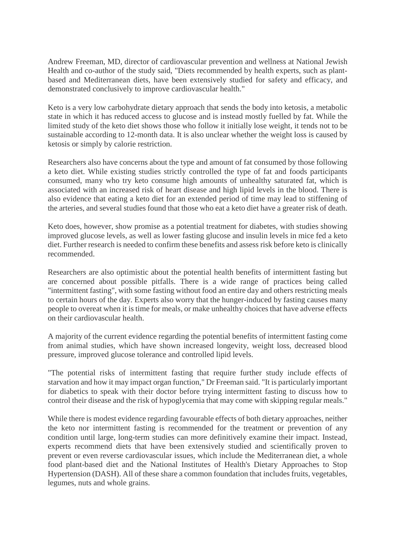Andrew Freeman, MD, director of cardiovascular prevention and wellness at National Jewish Health and co-author of the study said, "Diets recommended by health experts, such as plantbased and Mediterranean diets, have been extensively studied for safety and efficacy, and demonstrated conclusively to improve cardiovascular health."

Keto is a very low carbohydrate dietary approach that sends the body into ketosis, a metabolic state in which it has reduced access to glucose and is instead mostly fuelled by fat. While the limited study of the keto diet shows those who follow it initially lose weight, it tends not to be sustainable according to 12-month data. It is also unclear whether the weight loss is caused by ketosis or simply by calorie restriction.

Researchers also have concerns about the type and amount of fat consumed by those following a keto diet. While existing studies strictly controlled the type of fat and foods participants consumed, many who try keto consume high amounts of unhealthy saturated fat, which is associated with an increased risk of heart disease and high lipid levels in the blood. There is also evidence that eating a keto diet for an extended period of time may lead to stiffening of the arteries, and several studies found that those who eat a keto diet have a greater risk of death.

Keto does, however, show promise as a potential treatment for diabetes, with studies showing improved glucose levels, as well as lower fasting glucose and insulin levels in mice fed a keto diet. Further research is needed to confirm these benefits and assess risk before keto is clinically recommended.

Researchers are also optimistic about the potential health benefits of intermittent fasting but are concerned about possible pitfalls. There is a wide range of practices being called "intermittent fasting", with some fasting without food an entire day and others restricting meals to certain hours of the day. Experts also worry that the hunger-induced by fasting causes many people to overeat when it is time for meals, or make unhealthy choices that have adverse effects on their cardiovascular health.

A majority of the current evidence regarding the potential benefits of intermittent fasting come from animal studies, which have shown increased longevity, weight loss, decreased blood pressure, improved glucose tolerance and controlled lipid levels.

"The potential risks of intermittent fasting that require further study include effects of starvation and how it may impact organ function," Dr Freeman said. "It is particularly important for diabetics to speak with their doctor before trying intermittent fasting to discuss how to control their disease and the risk of hypoglycemia that may come with skipping regular meals."

While there is modest evidence regarding favourable effects of both dietary approaches, neither the keto nor intermittent fasting is recommended for the treatment or prevention of any condition until large, long-term studies can more definitively examine their impact. Instead, experts recommend diets that have been extensively studied and scientifically proven to prevent or even reverse cardiovascular issues, which include the Mediterranean diet, a whole food plant-based diet and the National Institutes of Health's Dietary Approaches to Stop Hypertension (DASH). All of these share a common foundation that includes fruits, vegetables, legumes, nuts and whole grains.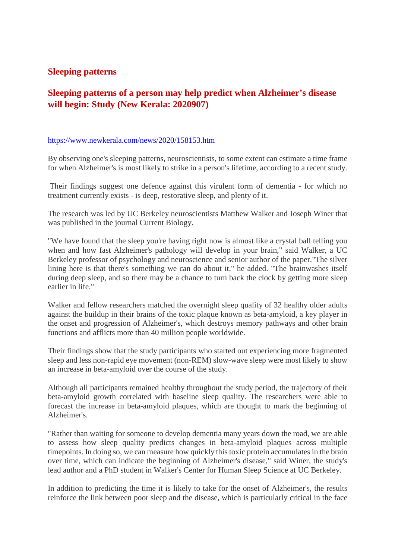#### **Sleeping patterns**

# **Sleeping patterns of a person may help predict when Alzheimer's disease will begin: Study (New Kerala: 2020907)**

#### https://www.newkerala.com/news/2020/158153.htm

By observing one's sleeping patterns, neuroscientists, to some extent can estimate a time frame for when Alzheimer's is most likely to strike in a person's lifetime, according to a recent study.

Their findings suggest one defence against this virulent form of dementia - for which no treatment currently exists - is deep, restorative sleep, and plenty of it.

The research was led by UC Berkeley neuroscientists Matthew Walker and Joseph Winer that was published in the journal Current Biology.

"We have found that the sleep you're having right now is almost like a crystal ball telling you when and how fast Alzheimer's pathology will develop in your brain," said Walker, a UC Berkeley professor of psychology and neuroscience and senior author of the paper."The silver lining here is that there's something we can do about it," he added. "The brainwashes itself during deep sleep, and so there may be a chance to turn back the clock by getting more sleep earlier in life."

Walker and fellow researchers matched the overnight sleep quality of 32 healthy older adults against the buildup in their brains of the toxic plaque known as beta-amyloid, a key player in the onset and progression of Alzheimer's, which destroys memory pathways and other brain functions and afflicts more than 40 million people worldwide.

Their findings show that the study participants who started out experiencing more fragmented sleep and less non-rapid eye movement (non-REM) slow-wave sleep were most likely to show an increase in beta-amyloid over the course of the study.

Although all participants remained healthy throughout the study period, the trajectory of their beta-amyloid growth correlated with baseline sleep quality. The researchers were able to forecast the increase in beta-amyloid plaques, which are thought to mark the beginning of Alzheimer's.

"Rather than waiting for someone to develop dementia many years down the road, we are able to assess how sleep quality predicts changes in beta-amyloid plaques across multiple timepoints. In doing so, we can measure how quickly this toxic protein accumulates in the brain over time, which can indicate the beginning of Alzheimer's disease," said Winer, the study's lead author and a PhD student in Walker's Center for Human Sleep Science at UC Berkeley.

In addition to predicting the time it is likely to take for the onset of Alzheimer's, the results reinforce the link between poor sleep and the disease, which is particularly critical in the face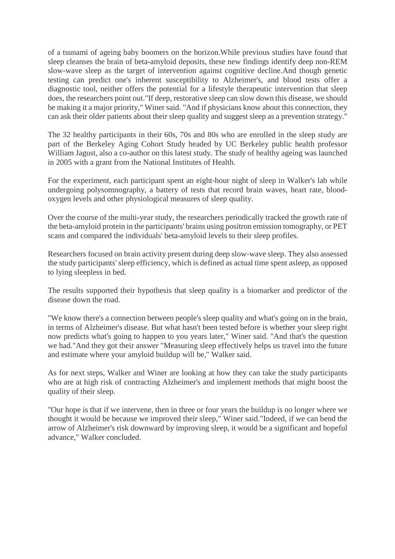of a tsunami of ageing baby boomers on the horizon.While previous studies have found that sleep cleanses the brain of beta-amyloid deposits, these new findings identify deep non-REM slow-wave sleep as the target of intervention against cognitive decline.And though genetic testing can predict one's inherent susceptibility to Alzheimer's, and blood tests offer a diagnostic tool, neither offers the potential for a lifestyle therapeutic intervention that sleep does, the researchers point out."If deep, restorative sleep can slow down this disease, we should be making it a major priority," Winer said. "And if physicians know about this connection, they can ask their older patients about their sleep quality and suggest sleep as a prevention strategy."

The 32 healthy participants in their 60s, 70s and 80s who are enrolled in the sleep study are part of the Berkeley Aging Cohort Study headed by UC Berkeley public health professor William Jagust, also a co-author on this latest study. The study of healthy ageing was launched in 2005 with a grant from the National Institutes of Health.

For the experiment, each participant spent an eight-hour night of sleep in Walker's lab while undergoing polysomnography, a battery of tests that record brain waves, heart rate, bloodoxygen levels and other physiological measures of sleep quality.

Over the course of the multi-year study, the researchers periodically tracked the growth rate of the beta-amyloid protein in the participants' brains using positron emission tomography, or PET scans and compared the individuals' beta-amyloid levels to their sleep profiles.

Researchers focused on brain activity present during deep slow-wave sleep. They also assessed the study participants' sleep efficiency, which is defined as actual time spent asleep, as opposed to lying sleepless in bed.

The results supported their hypothesis that sleep quality is a biomarker and predictor of the disease down the road.

"We know there's a connection between people's sleep quality and what's going on in the brain, in terms of Alzheimer's disease. But what hasn't been tested before is whether your sleep right now predicts what's going to happen to you years later," Winer said. "And that's the question we had."And they got their answer "Measuring sleep effectively helps us travel into the future and estimate where your amyloid buildup will be," Walker said.

As for next steps, Walker and Winer are looking at how they can take the study participants who are at high risk of contracting Alzheimer's and implement methods that might boost the quality of their sleep.

"Our hope is that if we intervene, then in three or four years the buildup is no longer where we thought it would be because we improved their sleep," Winer said."Indeed, if we can bend the arrow of Alzheimer's risk downward by improving sleep, it would be a significant and hopeful advance," Walker concluded.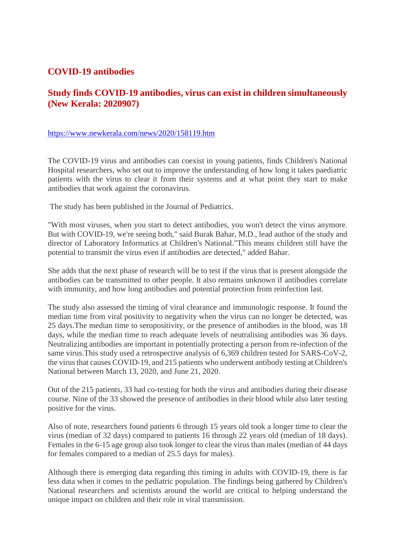#### **COVID-19 antibodies**

## **Study finds COVID-19 antibodies, virus can exist in children simultaneously (New Kerala: 2020907)**

#### https://www.newkerala.com/news/2020/158119.htm

The COVID-19 virus and antibodies can coexist in young patients, finds Children's National Hospital researchers, who set out to improve the understanding of how long it takes paediatric patients with the virus to clear it from their systems and at what point they start to make antibodies that work against the coronavirus.

The study has been published in the Journal of Pediatrics.

"With most viruses, when you start to detect antibodies, you won't detect the virus anymore. But with COVID-19, we're seeing both," said Burak Bahar, M.D., lead author of the study and director of Laboratory Informatics at Children's National."This means children still have the potential to transmit the virus even if antibodies are detected," added Bahar.

She adds that the next phase of research will be to test if the virus that is present alongside the antibodies can be transmitted to other people. It also remains unknown if antibodies correlate with immunity, and how long antibodies and potential protection from reinfection last.

The study also assessed the timing of viral clearance and immunologic response. It found the median time from viral positivity to negativity when the virus can no longer be detected, was 25 days.The median time to seropositivity, or the presence of antibodies in the blood, was 18 days, while the median time to reach adequate levels of neutralising antibodies was 36 days. Neutralizing antibodies are important in potentially protecting a person from re-infection of the same virus.This study used a retrospective analysis of 6,369 children tested for SARS-CoV-2, the virus that causes COVID-19, and 215 patients who underwent antibody testing at Children's National between March 13, 2020, and June 21, 2020.

Out of the 215 patients, 33 had co-testing for both the virus and antibodies during their disease course. Nine of the 33 showed the presence of antibodies in their blood while also later testing positive for the virus.

Also of note, researchers found patients 6 through 15 years old took a longer time to clear the virus (median of 32 days) compared to patients 16 through 22 years old (median of 18 days). Females in the 6-15 age group also took longer to clear the virus than males (median of 44 days for females compared to a median of 25.5 days for males).

Although there is emerging data regarding this timing in adults with COVID-19, there is far less data when it comes to the pediatric population. The findings being gathered by Children's National researchers and scientists around the world are critical to helping understand the unique impact on children and their role in viral transmission.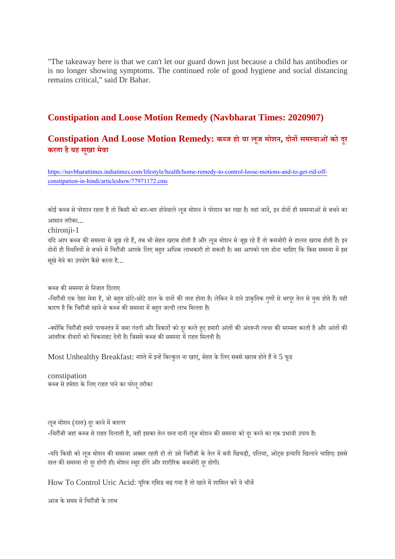"The takeaway here is that we can't let our guard down just because a child has antibodies or is no longer showing symptoms. The continued role of good hygiene and social distancing remains critical," said Dr Bahar.

## **Constipation and Loose Motion Remedy (Navbharat Times: 2020907)**

**Constipation And Loose Motion Remedy: कज हो या लूज मोशन, दोनसमयाओंको दूर करता हैयह सखू ा मेवा**

https://navbharattimes.indiatimes.com/lifestyle/health/home-remedy-to-control-loose-motions-and-to-get-rid-offconstipation-in-hindi/articleshow/77971172.cms

कोई कब्ज से परेशान रहता है तो किसी को बार-बार होनेवाले लुज मोशन ने परेशान कर रखा है। यहां जानें, इन दोनों ही समस्याओं से बचने का आसान तरीका...

chironii-1

यदि आप कब्ज की समस्या से जुझ रहे हैं, तब भी सेहत खराब होती है और लुज मोशन से जुझ रहे हैं तो कमजोरी से हालत खराब होती है। इन दोनों ही स्थितियों से बचने में चिरौंजी आपके लिए बहत अधिक लाभकारी हो सकती है। बस आपको पता होना चाहिए कि किस समस्या में इस सूखे मेवे का उपयोग कैसे करना है...

कब्ज की समस्या से निजात दिलाए

-चिरौंजी एक ऐसा मेवा है, जो बहुत छोटे-छोटे दाल के दानों की तरह होता है। लेकिन ये दाने प्राकृतिक गुणों से भरपूर तेल से युक्त होते हैं। यही कारण है कि चिरौंजी खाने से कब्ज की समस्या में बहत जल्दी लाभ मिलता है।

-क्योंकि चिरौंजी हमारे पाचनतंत्र में जमा गंदगी और विकारों को दूर करते हुए हमारी आंतों की अंदरूनी त्वचा की मरम्मत करती है और आंतों की आंतरिक दीवारों को चिकनाहट देती है। जिससे कब्ज की समस्या में राहत मिलती है।

Most Unhealthy Breakfast: नाश्ते में इन्हें बिल्कुल ना खाएं, सेहत के लिए सबसे खराब होते हैं ये 5 फूड

constipation कब्ज से हमेशा के लिए राहत पाने का घरेलू तरीका

लूज मोशन (दस्त) दूर करने में कारगर -चिरौंजी जहां कब्ज से राहत दिलाती है, वहीं इसका तेल दस्त यानी लूज मोशन की समस्या को दूर करने का एक प्रभावी उपाय है।

-यदि किसी को लूज मोशन की समस्या अक्सर रहती हो तो उसे चिरौंजी के तेल में बनी खिचड़ी, दलिया, ओट्स इत्यादि खिलाने चाहिए। इससे दस्त की समस्या तो दर होगी ही। मोशन स्मुद होंगे और शारीरिक कमजोरी दर होगी।

How To Control Uric Acid: यूरिक एसिड बढ़ गया है तो खाने में शामिल करें ये चीजें

आज के समय में चिरौंजी के लाभ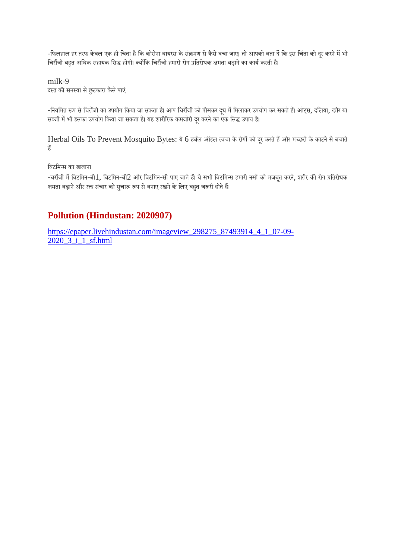-फिलहाल हर तरफ केवल एक ही चिंता है कि कोरोना वायरस के संक्रमण से कैसे बचा जाए। तो आपको बता दें कि इस चिंता को दूर करने में भी चिरौंजी बहुत अधिक सहायक सिद्ध होगी। क्योंकि चिरौंजी हमारी रोग प्रतिरोधक क्षमता बढ़ाने का कार्य करती है।

milk-9 दस्त की समस्या से छुटकारा कैसे पाएं

-नियमित रूप से चिरौंजी का उपयोग किया जा सकता है। आप चिरौंजी को पीसकर दूध में मिलाकर उपयोग कर सकते हैं। ओट्स, दलिया, खीर या सब्जी में भी इसका उपयोग किया जा सकता है। यह शारीरिक कमजोरी दूर करने का एक सिद्ध उपाय है।

Herbal Oils To Prevent Mosquito Bytes: ये 6 हर्बल ऑइल त्वचा के रोगों को दूर करते हैं और मच्छरों के काटने से बचाते ह

िवटिमस का खजाना

-चरौंजी में विटमिन-बी1, विटमिन-बी2 और विटमिन-सी पाए जाते हैं। ये सभी विटमिन्स हमारी नसों को मजबूत करने, शरीर की रोग प्रतिरोधक क्षमता बढ़ाने और रक्त संचार को सुचारू रूप से बनाए रखने के लिए बहुत जरूरी होते हैं।

# **Pollution (Hindustan: 2020907)**

https://epaper.livehindustan.com/imageview\_298275\_87493914\_4\_1\_07-09- 2020\_3\_i\_1\_sf.html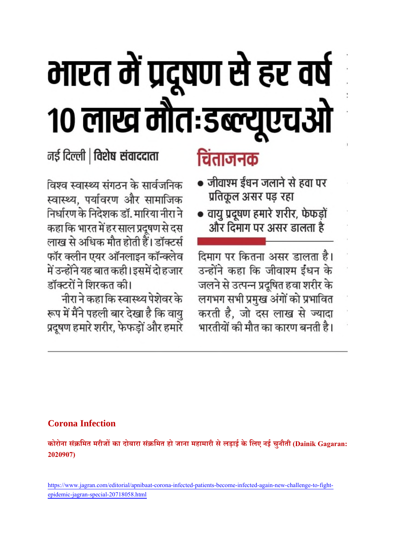# भारत में प्रदूषण से हर वर्ष १० लाख मौतःडब्ल्यूएचओ

# नई दिल्ली | विशेष संवाददाता

विश्व स्वास्थ्य संगठन के सार्वजनिक स्वास्थ्य, पर्यावरण और सामाजिक निर्धारण के निदेशक डॉ. मारिया नीरा ने कहा कि भारत में हर साल प्रदूषण से दस लाख से अधिक मौत होती हैं। डॉक्टर्स फॉर क्लीन एयर ऑनलाइन कॉन्क्लेव में उन्होंने यह बात कही। इसमें दो हजार डॉक्टरों ने शिरकत की।

नीरा ने कहा कि स्वास्थ्य पेशेवर के रूप में मैंने पहली बार देखा है कि वायु प्रदूषण हमारे शरीर, फेफड़ों और हमारे

# चिंताजनक

- जीवाश्म ईंधन जलाने से हवा पर प्रतिकूल असर पड़ रहा
- वायु प्रदूषण हमारे शरीर, फेफड़ों और दिमाग पर असर डालता है

दिमाग पर कितना असर डालता है। उन्होंने कहा कि जीवाश्म ईंधन के जलने से उत्पन्न प्रदूषित हवा शरीर के लगभग सभी प्रमुख अंगों को प्रभावित करती है, जो दस लाख से ज्यादा भारतीयों की मौत का कारण बनती है।

# **Corona Infection**

**कोरोना सं िमत मरीजका दोबारा सं िमत हो जाना महामारी सेलड़ाई के िलए नई चुनौती (Dainik Gagaran: 2020907)**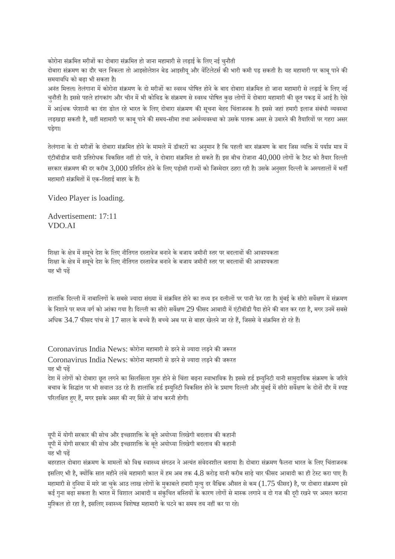कोरोना संक्रमित मरीजों का दोबारा संक्रमित हो जाना महामारी से लड़ाई के लिए नई चुनौती

दोबारा संक्रमण का दौर चल निकला तो आइसोलेशन बेड आइसीयू और वेंटिलेटर्स की भारी कमी पड़ सकती है। यह महामारी पर काबू पाने की समयाविध को बढ़ा भी सकता ह।ै

अनंत मित्तल। तेलंगाना में कोरोना संक्रमण के दो मरीजों का स्वस्थ घोषित होने के बाद दोबारा संक्रमित हो जाना महामारी से लड़ाई के लिए नई चुनौती है। इससे पहले हांगकांग और चीन में भी कोविड के संक्रमण से स्वस्थ घोषित कुछ लोगों में दोबारा महामारी की छूत पकड़ में आई है। ऐसे में आíथक परेशानी का दंश ङोल रहे भारत के लिए दोबारा संक्रमण की सूचना बेहद चिंताजनक है। इससे जहां हमारी इलाज संबंधी व्यवस्था लड़खड़ा सकती है, वहीं महामारी पर काबू पाने की समय-सीमा तथा अर्थव्यवस्था को उसके घातक असर से उबारने की तैयारियों पर गहरा असर पड़ेगा।

तेलंगाना के दो मरीजों के दोबारा संक्रमित होने के मामले में डॉक्टरों का अनुमान है कि पहली बार संक्रमण के बाद जिस व्यक्ति में पर्याप्त मात्र में एंटीबॉडीज यानी प्रतिरोधक विकसित नहीं हो पाते, वे दोबारा संक्रमित हो सकते हैं। इस बीच रोजाना  $40,000$  लोगों के टैस्ट को तैयार दिल्ली सरकार संक्रमण की दर करीब 3,000 प्रतिदिन होने के लिए पड़ोसी राज्यों को जिम्मेदार ठहरा रही है। उसके अनुसार दिल्ली के अस्पतालों में भर्ती महामारी संक्रमितों में एक-तिहाई बाहर के हैं।

Video Player is loading.

Advertisement: 17:11 VDO.AI

शिक्षा के क्षेत्र में समृचे देश के लिए नीतिगत दस्तावेज बनाने के बजाय जमीनी स्तर पर बदलावों की आवश्यकता शिक्षा के क्षेत्र में समूचे देश के लिए नीतिगत दस्तावेज बनाने के बजाय जमीनी स्तर पर बदलावों की आवश्यकता यह भी पढ़

हालांकि दिल्ली में नाबालिगों के सबसे ज्यादा संख्या में संक्रमित होने का तथ्य इन दलीलों पर पानी फेर रहा है। मुंबई के सीरो सर्वेक्षण में संक्रमण के निशाने पर मध्य वर्ग को आंका गया है। दिल्ली का सीरो सर्वेक्षण 29 फीसद आबादी में एंटीबॉडी पैदा होने की बात कर रहा है, मगर उनमें सबसे अधिक 34.7 फीसद पांच से 17 साल के बच्चे हैं। बच्चे अब घर से बाहर खेलने जा रहे हैं, जिससे वे संक्रमित हो रहे हैं।

Coronavirus India News: कोरोना महामारी से डरने से ज्यादा लड़ने की जरूरत Coronavirus India News: कोरोना महामारी से डरने से ज्यादा लड़ने की जरूरत यह भी पढ़ देश में लोगों को दोबारा छूत लगने का सिलसिला शुरू होने से चिंता बढ़ना स्वाभाविक है। इससे हर्ड इम्युनिटी यानी सामुदायिक संक्रमण के जरिये

बचाव के सिद्धांत पर भी सवाल उठ रहे हैं। हालांकि हर्ड इम्युनिटी विकसित होने के प्रमाण दिल्ली और मुंबई में सीरो सर्वेक्षण के दोनों दौर में स्पष्ट परिलक्षित हुए हैं, मगर इसके असर की नए सिरे से जांच करनी होगी।

यूपी में योगी सरकार की सोच और इच्छाशक्ति के बूते अयोध्या लिखेगी बदलाव की कहानी यूपी में योगी सरकार की सोच और इच्छाशक्ति के बूते अयोध्या लिखेगी बदलाव की कहानी यह भी पढ़

बहरहाल दोबारा संक्रमण के मामलों को विश्व स्वास्थ्य संगठन ने अत्यंत संवेदनशील बताया है। दोबारा संक्रमण फैलना भारत के लिए चिंताजनक इसलिए भी है, क्योंकि सात महीने लंबे महामारी काल में हम अब तक 4.8 करोड़ यानी करीब साढ़े चार फीसद आबादी का ही टेस्ट करा पाए हैं। महामारी से दनिया में मारे जा चुके आठ लाख लोगों के मुकाबले हमारी मृत्यु दर वैश्विक औसत से कम (1.75 फीसद) है, पर दोबारा संक्रमण इसे कई गुना बढ़ा सकता है। भारत में विशाल आबादी व संकुचित बस्तियों के कारण लोगों से मास्क लगाने व दो गज की दरी रखने पर अमल कराना मुश्किल हो रहा है, इसलिए स्वास्थ्य विशेषज्ञ महामारी के घटने का समय तय नहीं कर पा रहे।